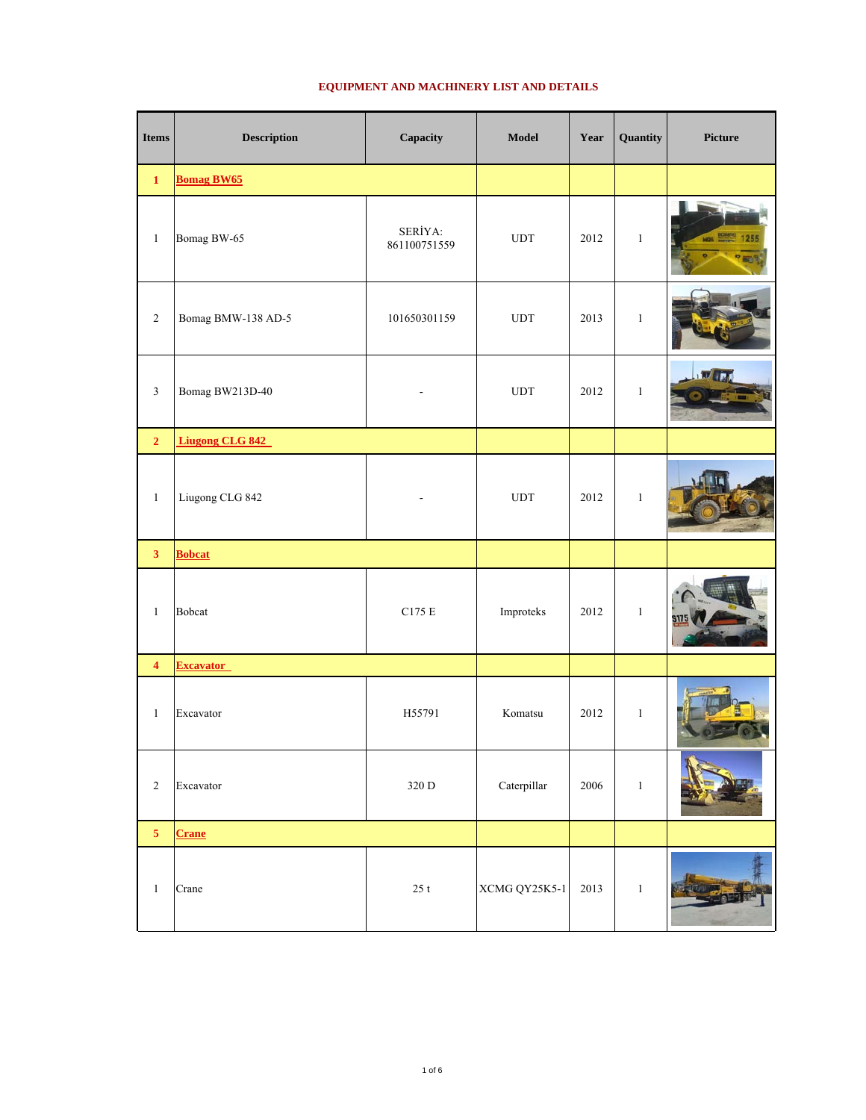| <b>Items</b>            | <b>Description</b>     | Capacity                | Model         | Year | Quantity     | Picture |
|-------------------------|------------------------|-------------------------|---------------|------|--------------|---------|
| $\mathbf 1$             | <b>Bomag BW65</b>      |                         |               |      |              |         |
| $\mathbf{1}$            | Bomag BW-65            | SERİYA:<br>861100751559 | ${\rm UDT}$   | 2012 | $\mathbf{1}$ | BOMAG   |
| $\overline{c}$          | Bomag BMW-138 AD-5     | 101650301159            | ${\rm UDT}$   | 2013 | $\mathbf{1}$ |         |
| $\mathfrak{Z}$          | Bomag BW213D-40        |                         | <b>UDT</b>    | 2012 | $\mathbf{1}$ |         |
| $\overline{2}$          | <b>Liugong CLG 842</b> |                         |               |      |              |         |
| $\mathbf{1}$            | Liugong CLG 842        |                         | ${\rm UDT}$   | 2012 | $\mathbf{1}$ |         |
| $\overline{\mathbf{3}}$ | <b>Bobcat</b>          |                         |               |      |              |         |
| $\mathbf{1}$            | <b>Bobcat</b>          | $\rm C175$ E            | Improteks     | 2012 | $\mathbf{1}$ |         |
| $\overline{\mathbf{4}}$ | <b>Excavator</b>       |                         |               |      |              |         |
| $\mathbf{1}$            | Excavator              | H55791                  | Komatsu       | 2012 | $\mathbf{1}$ |         |
| $\sqrt{2}$              | Excavator              | $320$ D                 | Caterpillar   | 2006 | $\,1$        |         |
| $\overline{\mathbf{5}}$ | Crane                  |                         |               |      |              |         |
| $\mathbf{1}$            | Crane                  | $25\ {\rm t}$           | XCMG QY25K5-1 | 2013 | $\,1\,$      |         |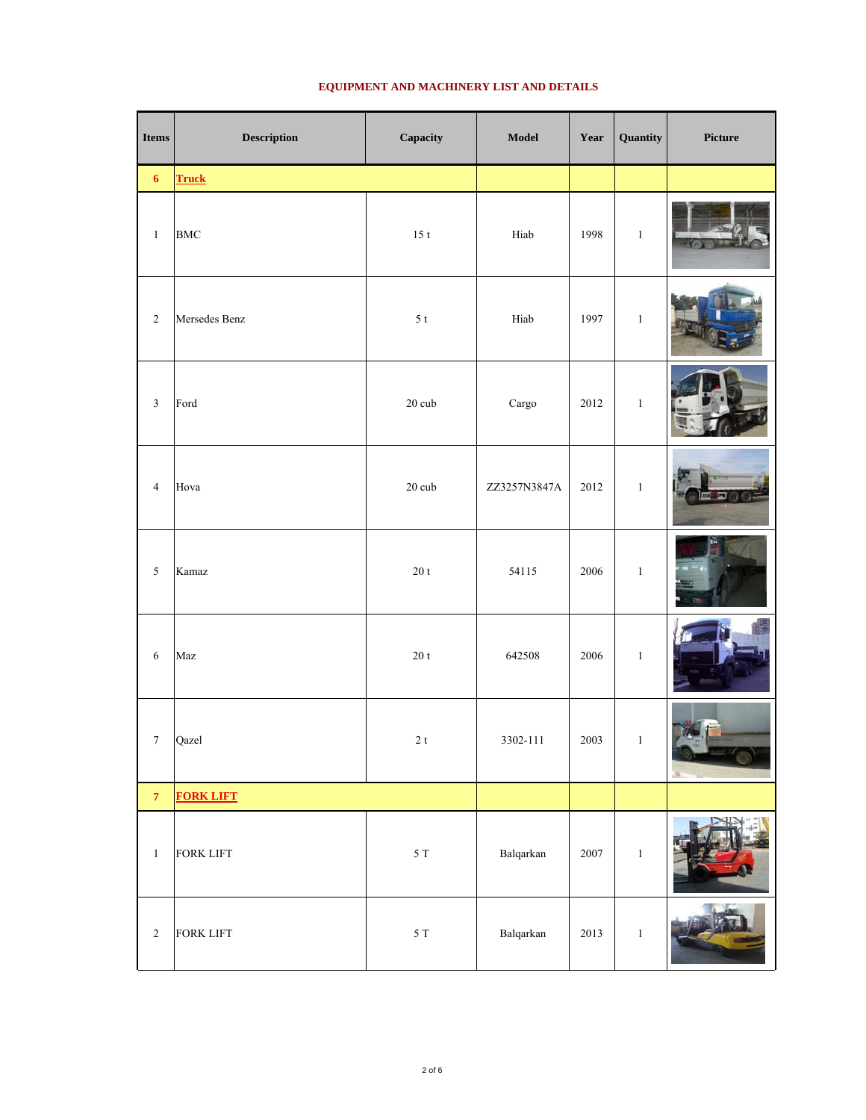| <b>Items</b>       | <b>Description</b> | Capacity           | Model                      | Year | Quantity     | Picture |
|--------------------|--------------------|--------------------|----------------------------|------|--------------|---------|
| $\boldsymbol{6}$   | <b>Truck</b>       |                    |                            |      |              |         |
| $\,1\,$            | <b>BMC</b>         | $15\ {\rm t}$      | $\rm{H}iab$                | 1998 | $\,1\,$      |         |
| $\sqrt{2}$         | Mersedes Benz      | $5\ {\rm t}$       | Hiab                       | 1997 | $\,1$        |         |
| $\sqrt{3}$         | Ford               | $20\ \mathrm{cub}$ | $\rm{Cargo}$               | 2012 | $1\,$        |         |
| $\overline{4}$     | Hova               | $20\ \mathrm{cub}$ | ZZ3257N3847A               | 2012 | $\mathbf{1}$ |         |
| 5                  | Kamaz              | $20\ {\rm t}$      | 54115                      | 2006 | $\mathbf{1}$ |         |
| $\sqrt{6}$         | Maz                | $20\ {\rm t}$      | 642508                     | 2006 | $\,1$        |         |
| $\boldsymbol{7}$   | Qazel              | $2\ {\rm t}$       | 3302-111                   | 2003 | $\,1\,$      |         |
| $\overline{\bf 7}$ | <b>FORK LIFT</b>   |                    |                            |      |              |         |
| $\,1\,$            | <b>FORK LIFT</b>   | $5\ {\rm T}$       | Balqarkan                  | 2007 | $\,1\,$      |         |
| $\sqrt{2}$         | <b>FORK LIFT</b>   | $5\ {\rm T}$       | $\operatorname{Balqarkan}$ | 2013 | $\,1\,$      |         |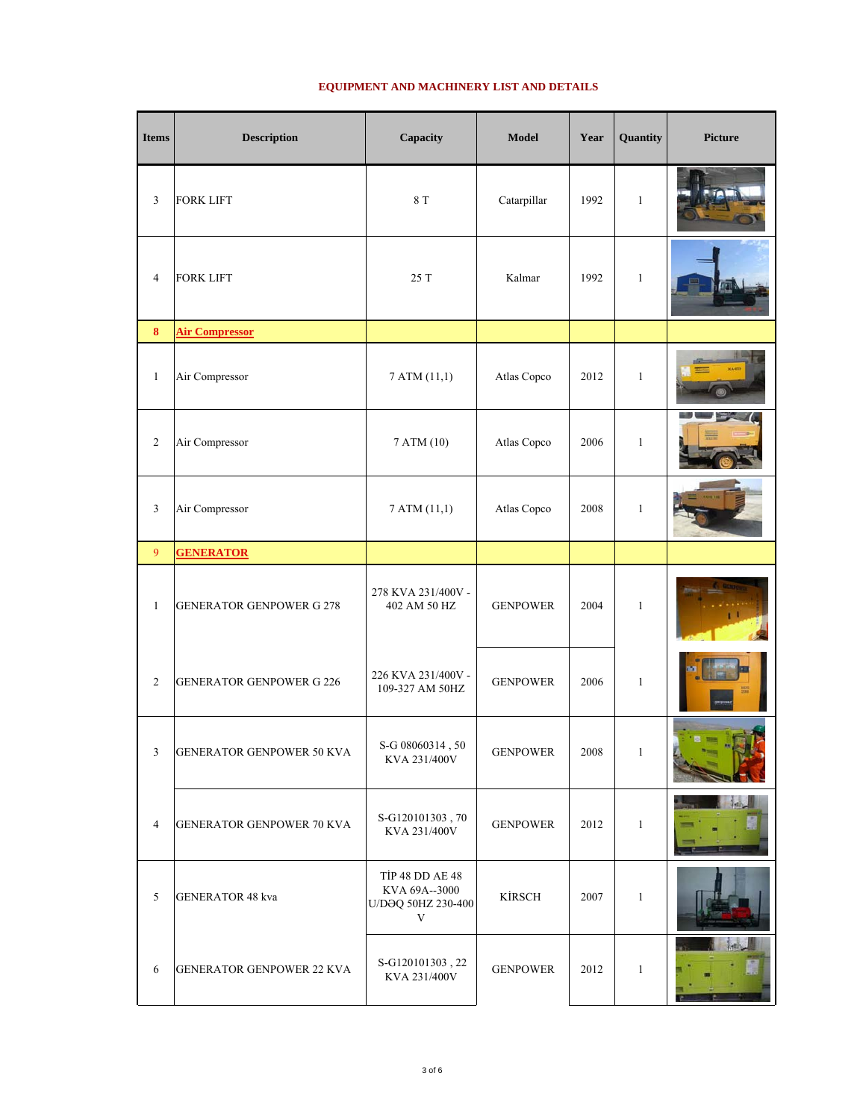| <b>Items</b>   | <b>Description</b>               | Capacity                                                                     | <b>Model</b>    | Year | Quantity     | <b>Picture</b> |
|----------------|----------------------------------|------------------------------------------------------------------------------|-----------------|------|--------------|----------------|
| 3              | <b>FORK LIFT</b>                 | $8\ {\rm T}$                                                                 | Catarpillar     | 1992 | $\mathbf{1}$ |                |
| 4              | <b>FORK LIFT</b>                 | 25 T                                                                         | Kalmar          | 1992 | $\mathbf{1}$ |                |
| $\bf{8}$       | <b>Air Compressor</b>            |                                                                              |                 |      |              |                |
| $\mathbf{1}$   | Air Compressor                   | 7 ATM (11,1)                                                                 | Atlas Copco     | 2012 | $\mathbf{1}$ |                |
| $\overline{c}$ | Air Compressor                   | 7 ATM (10)                                                                   | Atlas Copco     | 2006 | $\mathbf{1}$ |                |
| 3              | Air Compressor                   | 7 ATM (11,1)                                                                 | Atlas Copco     | 2008 | $\mathbf{1}$ |                |
| 9              | <b>GENERATOR</b>                 |                                                                              |                 |      |              |                |
| $\mathbf{1}$   | <b>GENERATOR GENPOWER G 278</b>  | 278 KVA 231/400V -<br>402 AM 50 HZ                                           | <b>GENPOWER</b> | 2004 | $\mathbf{1}$ |                |
| $\overline{c}$ | <b>GENERATOR GENPOWER G 226</b>  | 226 KVA 231/400V -<br>109-327 AM 50HZ                                        | <b>GENPOWER</b> | 2006 | $\mathbf{1}$ |                |
| $\mathfrak{Z}$ | <b>GENERATOR GENPOWER 50 KVA</b> | S-G 08060314, 50<br>KVA 231/400V                                             | <b>GENPOWER</b> | 2008 | $\mathbf{1}$ |                |
| $\overline{4}$ | <b>GENERATOR GENPOWER 70 KVA</b> | S-G120101303, 70<br>KVA 231/400V                                             | <b>GENPOWER</b> | 2012 | $\mathbf{1}$ | Tah.           |
| 5              | <b>GENERATOR 48 kva</b>          | <b>TİP 48 DD AE 48</b><br>KVA 69A--3000<br>U/DƏQ 50HZ 230-400<br>$\mathbf V$ | <b>KİRSCH</b>   | 2007 | $\mathbf{1}$ |                |
| $\sqrt{6}$     | <b>GENERATOR GENPOWER 22 KVA</b> | S-G120101303, 22<br>KVA 231/400V                                             | <b>GENPOWER</b> | 2012 | 1            |                |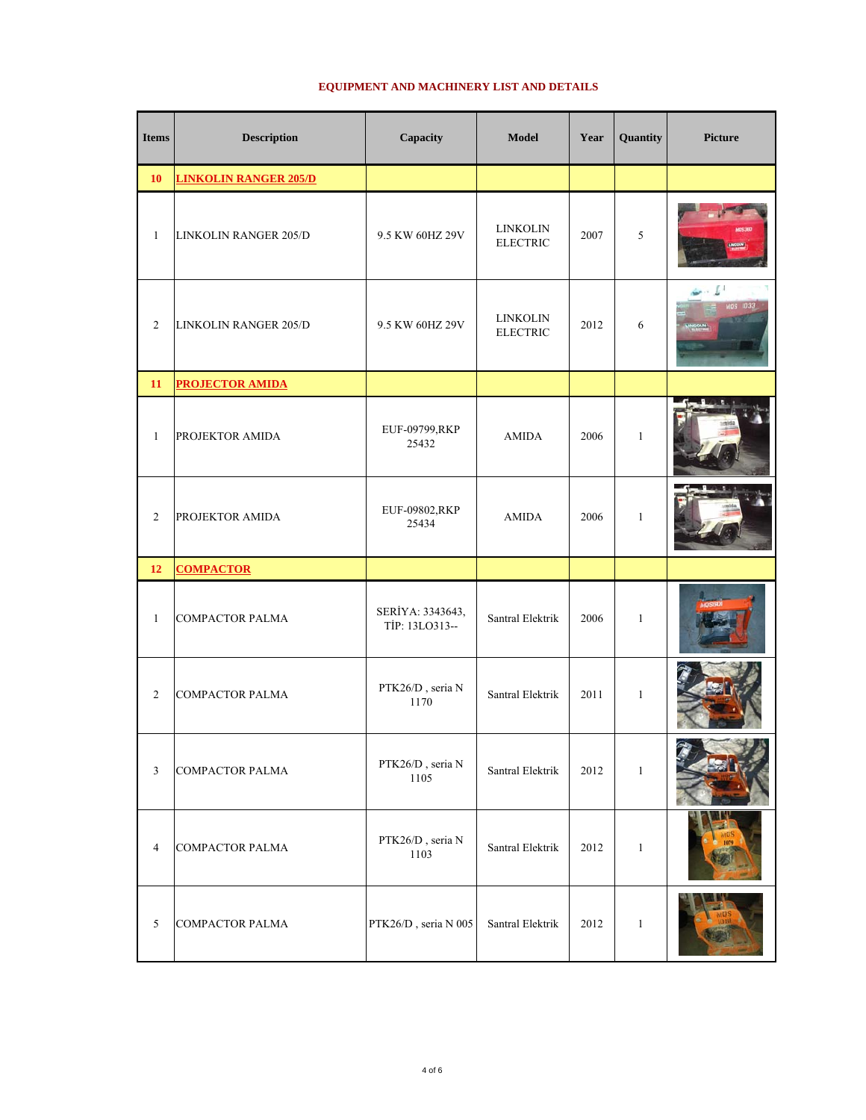| <b>Items</b>   | <b>Description</b>           | Capacity                           | <b>Model</b>                       | Year | Quantity     | <b>Picture</b>        |
|----------------|------------------------------|------------------------------------|------------------------------------|------|--------------|-----------------------|
| 10             | <b>LINKOLIN RANGER 205/D</b> |                                    |                                    |      |              |                       |
| $\mathbf{1}$   | LINKOLIN RANGER 205/D        | 9.5 KW 60HZ 29V                    | <b>LINKOLIN</b><br><b>ELECTRIC</b> | 2007 | 5            |                       |
| $\sqrt{2}$     | <b>LINKOLIN RANGER 205/D</b> | 9.5 KW 60HZ 29V                    | <b>LINKOLIN</b><br><b>ELECTRIC</b> | 2012 | 6            | L.<br><b>MOS 1033</b> |
| 11             | <b>PROJECTOR AMIDA</b>       |                                    |                                    |      |              |                       |
| $\mathbf{1}$   | PROJEKTOR AMIDA              | EUF-09799,RKP<br>25432             | <b>AMIDA</b>                       | 2006 | $\mathbf{1}$ |                       |
| $\mathfrak{2}$ | PROJEKTOR AMIDA              | EUF-09802,RKP<br>25434             | <b>AMIDA</b>                       | 2006 | $\mathbf{1}$ |                       |
| 12             | <b>COMPACTOR</b>             |                                    |                                    |      |              |                       |
| $\mathbf{1}$   | <b>COMPACTOR PALMA</b>       | SERİYA: 3343643,<br>TİP: 13LO313-- | Santral Elektrik                   | 2006 | $\mathbf{1}$ |                       |
| $\overline{c}$ | <b>COMPACTOR PALMA</b>       | PTK26/D, seria N<br>1170           | Santral Elektrik                   | 2011 | $\mathbf{1}$ |                       |
| $\mathfrak{Z}$ | <b>COMPACTOR PALMA</b>       | PTK26/D, seria N<br>1105           | Santral Elektrik                   | 2012 | $\mathbf{1}$ | <b>Report Follows</b> |
| $\overline{4}$ | <b>COMPACTOR PALMA</b>       | PTK26/D, seria N<br>1103           | Santral Elektrik                   | 2012 | $1\,$        |                       |
| $\sqrt{5}$     | <b>COMPACTOR PALMA</b>       | PTK26/D, seria N 005               | Santral Elektrik                   | 2012 | $\mathbf{1}$ |                       |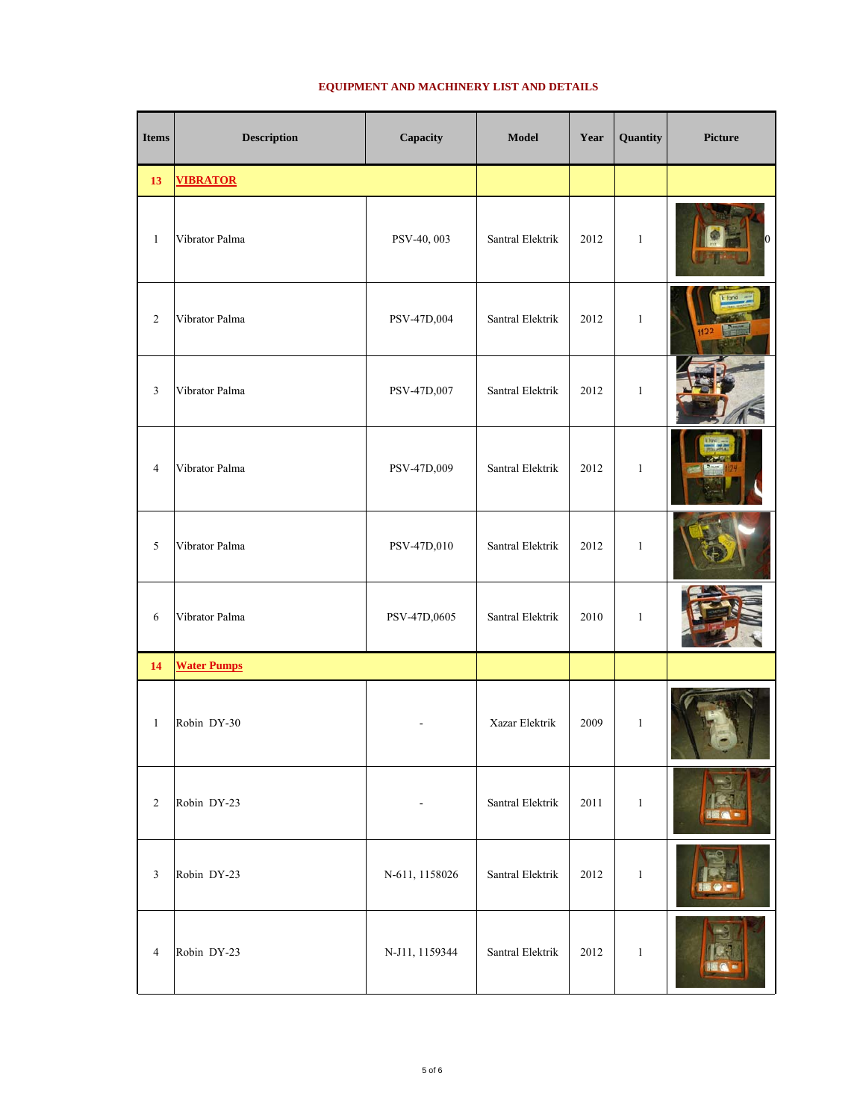| <b>Items</b>   | <b>Description</b> | Capacity                     | Model            | Year | Quantity     | <b>Picture</b>       |
|----------------|--------------------|------------------------------|------------------|------|--------------|----------------------|
| 13             | <b>VIBRATOR</b>    |                              |                  |      |              |                      |
| $\mathbf{1}$   | Vibrator Palma     | PSV-40, 003                  | Santral Elektrik | 2012 | $\mathbf{1}$ | $\vert$ <sub>0</sub> |
| $\overline{2}$ | Vibrator Palma     | PSV-47D,004                  | Santral Elektrik | 2012 | $\mathbf{1}$ | 1122                 |
| 3              | Vibrator Palma     | PSV-47D,007                  | Santral Elektrik | 2012 | $\mathbf{1}$ |                      |
| $\overline{4}$ | Vibrator Palma     | PSV-47D,009                  | Santral Elektrik | 2012 | $\mathbf{1}$ |                      |
| 5              | Vibrator Palma     | PSV-47D,010                  | Santral Elektrik | 2012 | $\,1\,$      |                      |
| 6              | Vibrator Palma     | PSV-47D,0605                 | Santral Elektrik | 2010 | $\mathbf{1}$ |                      |
| 14             | <b>Water Pumps</b> |                              |                  |      |              |                      |
| $\mathbf{1}$   | Robin DY-30        |                              | Xazar Elektrik   | 2009 | $\mathbf{1}$ |                      |
| $\sqrt{2}$     | Robin DY-23        | $\qquad \qquad \blacksquare$ | Santral Elektrik | 2011 | $\mathbf{1}$ |                      |
| $\mathfrak{Z}$ | Robin DY-23        | N-611, 1158026               | Santral Elektrik | 2012 | $\mathbf{1}$ |                      |
| $\overline{4}$ | Robin DY-23        | N-J11, 1159344               | Santral Elektrik | 2012 | $\mathbf{1}$ |                      |